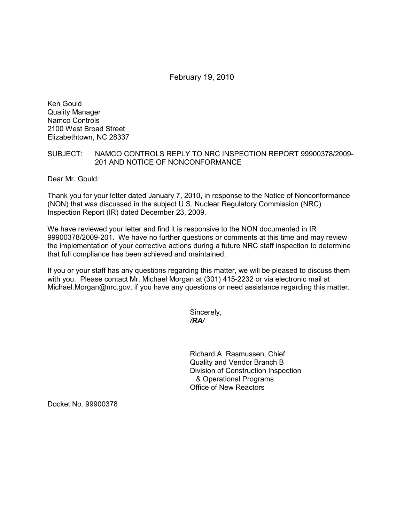February 19, 2010

Ken Gould Quality Manager Namco Controls 2100 West Broad Street Elizabethtown, NC 28337

## SUBJECT: NAMCO CONTROLS REPLY TO NRC INSPECTION REPORT 99900378/2009- 201 AND NOTICE OF NONCONFORMANCE

Dear Mr. Gould:

Thank you for your letter dated January 7, 2010, in response to the Notice of Nonconformance (NON) that was discussed in the subject U.S. Nuclear Regulatory Commission (NRC) Inspection Report (IR) dated December 23, 2009.

We have reviewed your letter and find it is responsive to the NON documented in IR 99900378/2009-201. We have no further questions or comments at this time and may review the implementation of your corrective actions during a future NRC staff inspection to determine that full compliance has been achieved and maintained.

If you or your staff has any questions regarding this matter, we will be pleased to discuss them with you. Please contact Mr. Michael Morgan at (301) 415-2232 or via electronic mail at Michael.Morgan@nrc.gov, if you have any questions or need assistance regarding this matter.

Sincerely, */RA/* 

> Richard A. Rasmussen, Chief Quality and Vendor Branch B Division of Construction Inspection & Operational Programs Office of New Reactors

Docket No. 99900378